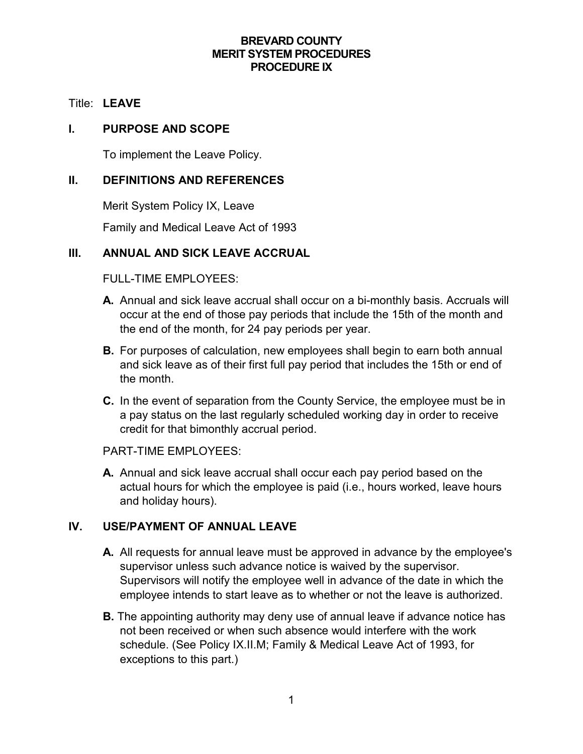## **BREVARD COUNTY MERIT SYSTEM PROCEDURES PROCEDURE IX**

#### Title: **LEAVE**

#### **I. PURPOSE AND SCOPE**

To implement the Leave Policy.

## **II. DEFINITIONS AND REFERENCES**

Merit System Policy IX, Leave

Family and Medical Leave Act of 1993

## **III. ANNUAL AND SICK LEAVE ACCRUAL**

FULL-TIME EMPLOYEES:

- **A.** Annual and sick leave accrual shall occur on a bi-monthly basis. Accruals will occur at the end of those pay periods that include the 15th of the month and the end of the month, for 24 pay periods per year.
- **B.** For purposes of calculation, new employees shall begin to earn both annual and sick leave as of their first full pay period that includes the 15th or end of the month.
- **C.** In the event of separation from the County Service, the employee must be in a pay status on the last regularly scheduled working day in order to receive credit for that bimonthly accrual period.

PART-TIME EMPLOYEES:

**A.** Annual and sick leave accrual shall occur each pay period based on the actual hours for which the employee is paid (i.e., hours worked, leave hours and holiday hours).

## **IV. USE/PAYMENT OF ANNUAL LEAVE**

- **A.** All requests for annual leave must be approved in advance by the employee's supervisor unless such advance notice is waived by the supervisor. Supervisors will notify the employee well in advance of the date in which the employee intends to start leave as to whether or not the leave is authorized.
- **B.** The appointing authority may deny use of annual leave if advance notice has not been received or when such absence would interfere with the work schedule. (See Policy IX.II.M; Family & Medical Leave Act of 1993, for exceptions to this part.)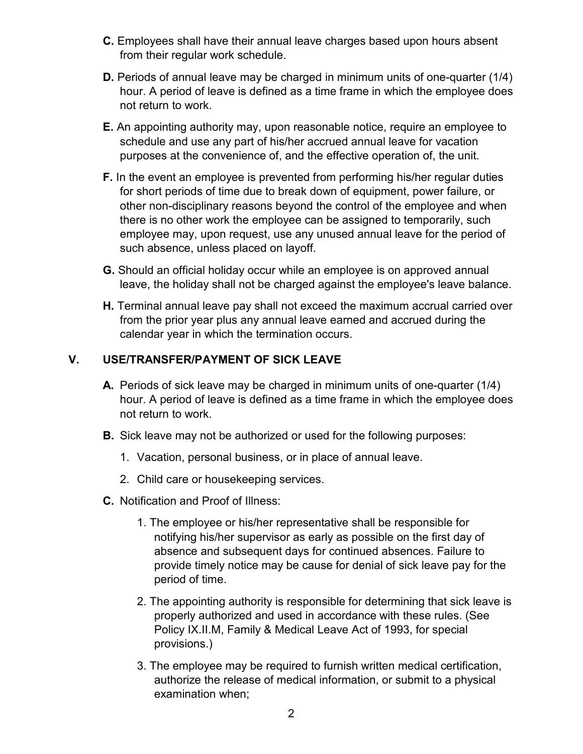- **C.** Employees shall have their annual leave charges based upon hours absent from their regular work schedule.
- **D.** Periods of annual leave may be charged in minimum units of one-quarter (1/4) hour. A period of leave is defined as a time frame in which the employee does not return to work.
- **E.** An appointing authority may, upon reasonable notice, require an employee to schedule and use any part of his/her accrued annual leave for vacation purposes at the convenience of, and the effective operation of, the unit.
- **F.** In the event an employee is prevented from performing his/her regular duties for short periods of time due to break down of equipment, power failure, or other non-disciplinary reasons beyond the control of the employee and when there is no other work the employee can be assigned to temporarily, such employee may, upon request, use any unused annual leave for the period of such absence, unless placed on layoff.
- **G.** Should an official holiday occur while an employee is on approved annual leave, the holiday shall not be charged against the employee's leave balance.
- **H.** Terminal annual leave pay shall not exceed the maximum accrual carried over from the prior year plus any annual leave earned and accrued during the calendar year in which the termination occurs.

# **V. USE/TRANSFER/PAYMENT OF SICK LEAVE**

- **A.** Periods of sick leave may be charged in minimum units of one-quarter (1/4) hour. A period of leave is defined as a time frame in which the employee does not return to work.
- **B.** Sick leave may not be authorized or used for the following purposes:
	- 1. Vacation, personal business, or in place of annual leave.
	- 2. Child care or housekeeping services.
- **C.** Notification and Proof of Illness:
	- 1. The employee or his/her representative shall be responsible for notifying his/her supervisor as early as possible on the first day of absence and subsequent days for continued absences. Failure to provide timely notice may be cause for denial of sick leave pay for the period of time.
	- 2. The appointing authority is responsible for determining that sick leave is properly authorized and used in accordance with these rules. (See Policy IX.II.M, Family & Medical Leave Act of 1993, for special provisions.)
	- 3. The employee may be required to furnish written medical certification, authorize the release of medical information, or submit to a physical examination when;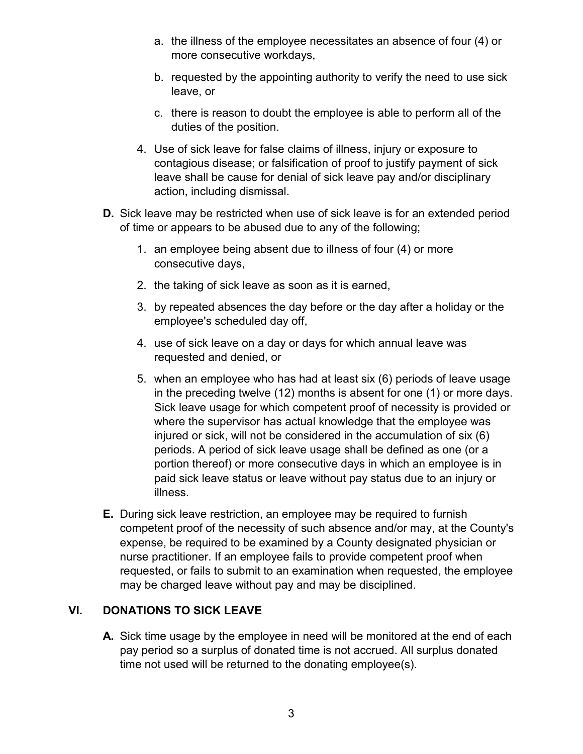- a. the illness of the employee necessitates an absence of four (4) or more consecutive workdays,
- b. requested by the appointing authority to verify the need to use sick leave, or
- c. there is reason to doubt the employee is able to perform all of the duties of the position.
- 4. Use of sick leave for false claims of illness, injury or exposure to contagious disease; or falsification of proof to justify payment of sick leave shall be cause for denial of sick leave pay and/or disciplinary action, including dismissal.
- **D.** Sick leave may be restricted when use of sick leave is for an extended period of time or appears to be abused due to any of the following;
	- 1. an employee being absent due to illness of four (4) or more consecutive days,
	- 2. the taking of sick leave as soon as it is earned,
	- 3. by repeated absences the day before or the day after a holiday or the employee's scheduled day off,
	- 4. use of sick leave on a day or days for which annual leave was requested and denied, or
	- 5. when an employee who has had at least six (6) periods of leave usage in the preceding twelve (12) months is absent for one (1) or more days. Sick leave usage for which competent proof of necessity is provided or where the supervisor has actual knowledge that the employee was injured or sick, will not be considered in the accumulation of six (6) periods. A period of sick leave usage shall be defined as one (or a portion thereof) or more consecutive days in which an employee is in paid sick leave status or leave without pay status due to an injury or illness.
- **E.** During sick leave restriction, an employee may be required to furnish competent proof of the necessity of such absence and/or may, at the County's expense, be required to be examined by a County designated physician or nurse practitioner. If an employee fails to provide competent proof when requested, or fails to submit to an examination when requested, the employee may be charged leave without pay and may be disciplined.

# **VI. DONATIONS TO SICK LEAVE**

**A.** Sick time usage by the employee in need will be monitored at the end of each pay period so a surplus of donated time is not accrued. All surplus donated time not used will be returned to the donating employee(s).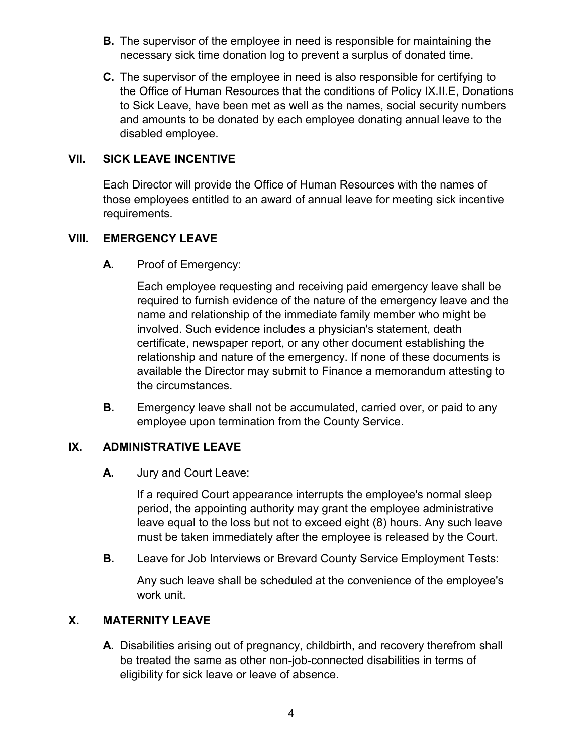- **B.** The supervisor of the employee in need is responsible for maintaining the necessary sick time donation log to prevent a surplus of donated time.
- **C.** The supervisor of the employee in need is also responsible for certifying to the Office of Human Resources that the conditions of Policy IX.II.E, Donations to Sick Leave, have been met as well as the names, social security numbers and amounts to be donated by each employee donating annual leave to the disabled employee.

## **VII. SICK LEAVE INCENTIVE**

Each Director will provide the Office of Human Resources with the names of those employees entitled to an award of annual leave for meeting sick incentive requirements.

## **VIII. EMERGENCY LEAVE**

**A.** Proof of Emergency:

Each employee requesting and receiving paid emergency leave shall be required to furnish evidence of the nature of the emergency leave and the name and relationship of the immediate family member who might be involved. Such evidence includes a physician's statement, death certificate, newspaper report, or any other document establishing the relationship and nature of the emergency. If none of these documents is available the Director may submit to Finance a memorandum attesting to the circumstances.

**B.** Emergency leave shall not be accumulated, carried over, or paid to any employee upon termination from the County Service.

## **IX. ADMINISTRATIVE LEAVE**

**A.** Jury and Court Leave:

If a required Court appearance interrupts the employee's normal sleep period, the appointing authority may grant the employee administrative leave equal to the loss but not to exceed eight (8) hours. Any such leave must be taken immediately after the employee is released by the Court.

**B.** Leave for Job Interviews or Brevard County Service Employment Tests:

Any such leave shall be scheduled at the convenience of the employee's work unit.

# **X. MATERNITY LEAVE**

**A.** Disabilities arising out of pregnancy, childbirth, and recovery therefrom shall be treated the same as other non-job-connected disabilities in terms of eligibility for sick leave or leave of absence.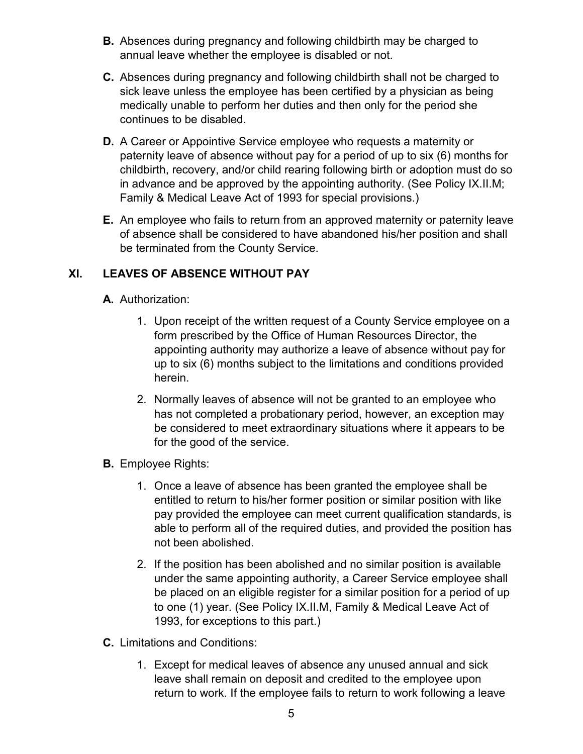- **B.** Absences during pregnancy and following childbirth may be charged to annual leave whether the employee is disabled or not.
- **C.** Absences during pregnancy and following childbirth shall not be charged to sick leave unless the employee has been certified by a physician as being medically unable to perform her duties and then only for the period she continues to be disabled.
- **D.** A Career or Appointive Service employee who requests a maternity or paternity leave of absence without pay for a period of up to six (6) months for childbirth, recovery, and/or child rearing following birth or adoption must do so in advance and be approved by the appointing authority. (See Policy IX.II.M; Family & Medical Leave Act of 1993 for special provisions.)
- **E.** An employee who fails to return from an approved maternity or paternity leave of absence shall be considered to have abandoned his/her position and shall be terminated from the County Service.

# **XI. LEAVES OF ABSENCE WITHOUT PAY**

- **A.** Authorization:
	- 1. Upon receipt of the written request of a County Service employee on a form prescribed by the Office of Human Resources Director, the appointing authority may authorize a leave of absence without pay for up to six (6) months subject to the limitations and conditions provided herein.
	- 2. Normally leaves of absence will not be granted to an employee who has not completed a probationary period, however, an exception may be considered to meet extraordinary situations where it appears to be for the good of the service.
- **B.** Employee Rights:
	- 1. Once a leave of absence has been granted the employee shall be entitled to return to his/her former position or similar position with like pay provided the employee can meet current qualification standards, is able to perform all of the required duties, and provided the position has not been abolished.
	- 2. If the position has been abolished and no similar position is available under the same appointing authority, a Career Service employee shall be placed on an eligible register for a similar position for a period of up to one (1) year. (See Policy IX.II.M, Family & Medical Leave Act of 1993, for exceptions to this part.)
- **C.** Limitations and Conditions:
	- 1. Except for medical leaves of absence any unused annual and sick leave shall remain on deposit and credited to the employee upon return to work. If the employee fails to return to work following a leave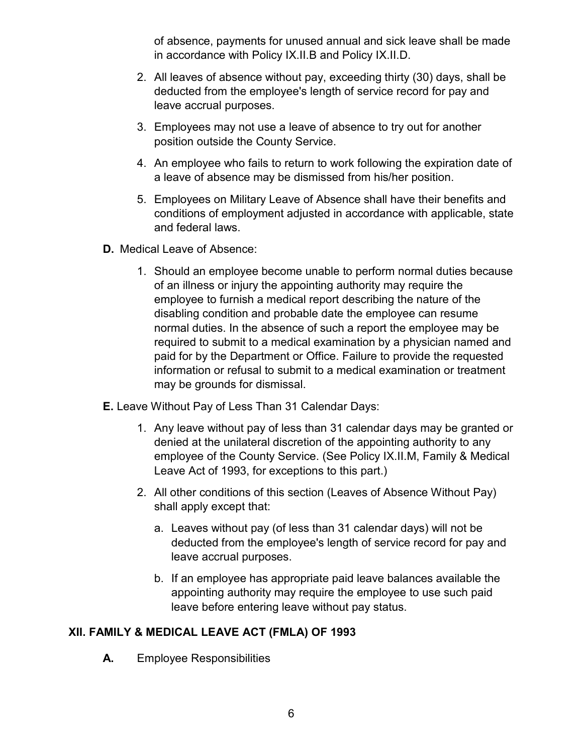of absence, payments for unused annual and sick leave shall be made in accordance with Policy IX.II.B and Policy IX.II.D.

- 2. All leaves of absence without pay, exceeding thirty (30) days, shall be deducted from the employee's length of service record for pay and leave accrual purposes.
- 3. Employees may not use a leave of absence to try out for another position outside the County Service.
- 4. An employee who fails to return to work following the expiration date of a leave of absence may be dismissed from his/her position.
- 5. Employees on Military Leave of Absence shall have their benefits and conditions of employment adjusted in accordance with applicable, state and federal laws.
- **D.** Medical Leave of Absence:
	- 1. Should an employee become unable to perform normal duties because of an illness or injury the appointing authority may require the employee to furnish a medical report describing the nature of the disabling condition and probable date the employee can resume normal duties. In the absence of such a report the employee may be required to submit to a medical examination by a physician named and paid for by the Department or Office. Failure to provide the requested information or refusal to submit to a medical examination or treatment may be grounds for dismissal.
- **E.** Leave Without Pay of Less Than 31 Calendar Days:
	- 1. Any leave without pay of less than 31 calendar days may be granted or denied at the unilateral discretion of the appointing authority to any employee of the County Service. (See Policy IX.II.M, Family & Medical Leave Act of 1993, for exceptions to this part.)
	- 2. All other conditions of this section (Leaves of Absence Without Pay) shall apply except that:
		- a. Leaves without pay (of less than 31 calendar days) will not be deducted from the employee's length of service record for pay and leave accrual purposes.
		- b. If an employee has appropriate paid leave balances available the appointing authority may require the employee to use such paid leave before entering leave without pay status.

# **XII. FAMILY & MEDICAL LEAVE ACT (FMLA) OF 1993**

**A.** Employee Responsibilities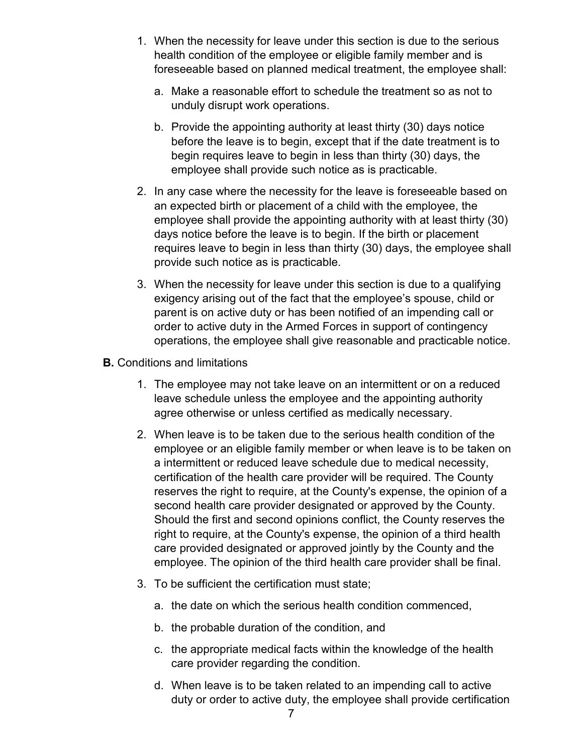- 1. When the necessity for leave under this section is due to the serious health condition of the employee or eligible family member and is foreseeable based on planned medical treatment, the employee shall:
	- a. Make a reasonable effort to schedule the treatment so as not to unduly disrupt work operations.
	- b. Provide the appointing authority at least thirty (30) days notice before the leave is to begin, except that if the date treatment is to begin requires leave to begin in less than thirty (30) days, the employee shall provide such notice as is practicable.
- 2. In any case where the necessity for the leave is foreseeable based on an expected birth or placement of a child with the employee, the employee shall provide the appointing authority with at least thirty (30) days notice before the leave is to begin. If the birth or placement requires leave to begin in less than thirty (30) days, the employee shall provide such notice as is practicable.
- 3. When the necessity for leave under this section is due to a qualifying exigency arising out of the fact that the employee's spouse, child or parent is on active duty or has been notified of an impending call or order to active duty in the Armed Forces in support of contingency operations, the employee shall give reasonable and practicable notice.
- **B.** Conditions and limitations
	- 1. The employee may not take leave on an intermittent or on a reduced leave schedule unless the employee and the appointing authority agree otherwise or unless certified as medically necessary.
	- 2. When leave is to be taken due to the serious health condition of the employee or an eligible family member or when leave is to be taken on a intermittent or reduced leave schedule due to medical necessity, certification of the health care provider will be required. The County reserves the right to require, at the County's expense, the opinion of a second health care provider designated or approved by the County. Should the first and second opinions conflict, the County reserves the right to require, at the County's expense, the opinion of a third health care provided designated or approved jointly by the County and the employee. The opinion of the third health care provider shall be final.
	- 3. To be sufficient the certification must state;
		- a. the date on which the serious health condition commenced,
		- b. the probable duration of the condition, and
		- c. the appropriate medical facts within the knowledge of the health care provider regarding the condition.
		- d. When leave is to be taken related to an impending call to active duty or order to active duty, the employee shall provide certification